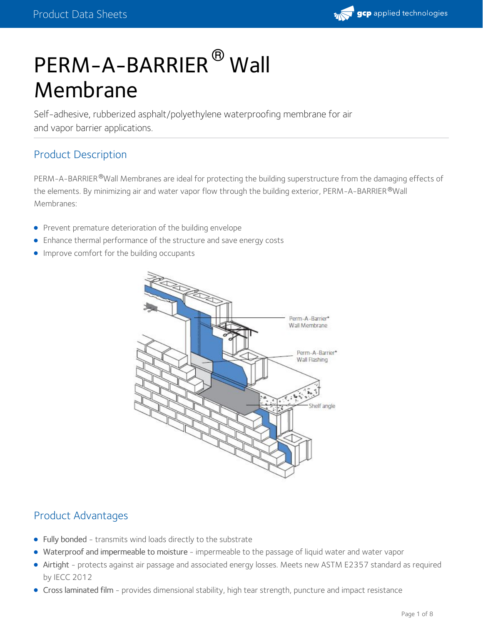# PERM-A-BARRIER<sup>®</sup> Wall Membrane

Self-adhesive, rubberized asphalt/polyethylene waterproofing membrane for air and vapor barrier applications.

# Product Description

PERM-A-BARRIER®Wall Membranes are ideal for protecting the building superstructure from the damaging effects of the elements. By minimizing air and water vapor flow through the building exterior, <code>PERM-A-BARRIER</code>  $^\circ$  Wall Membranes:

- **•** Prevent premature deterioration of the building envelope
- Enhance thermal performance of the structure and save energy costs
- **Improve comfort for the building occupants**



# Product Advantages

- Fully bonded transmits wind loads directly to the substrate
- Waterproof and impermeable to moisture impermeable to the passage of liquid water and water vapor
- Airtight protects against air passage and associated energy losses. Meets new ASTM E2357 standard as required by IECC 2012
- Cross laminated film provides dimensional stability, high tear strength, puncture and impact resistance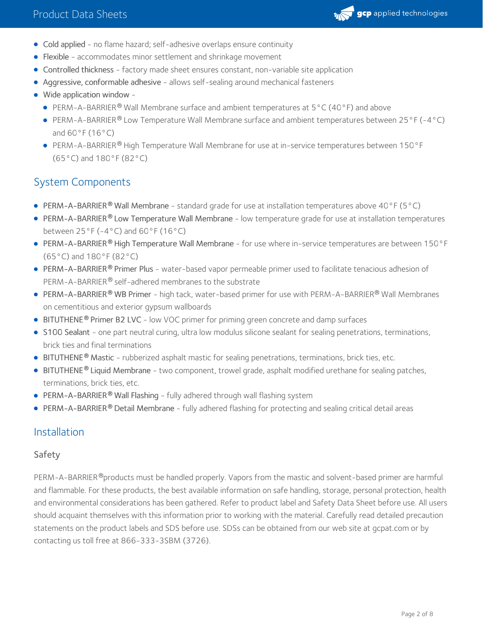

- Cold applied no flame hazard; self-adhesive overlaps ensure continuity
- Flexible accommodates minor settlement and shrinkage movement
- Controlled thickness factory made sheet ensures constant, non-variable site application
- Aggressive, conformable adhesive allows self-sealing around mechanical fasteners
- Wide application window
	- PERM-A-BARRIER<sup>®</sup> Wall Membrane surface and ambient temperatures at  $5^{\circ}$ C (40 $^{\circ}$ F) and above
	- PERM-A-BARRIER® Low Temperature Wall Membrane surface and ambient temperatures between 25°F (-4°C) and  $60^{\circ}$ F (16 $^{\circ}$ C)
	- PERM-A-BARRIER® High Temperature Wall Membrane for use at in-service temperatures between 150°F (65°C) and 180°F (82°C)

# System Components

- PERM-A-BARRIER<sup>®</sup> Wall Membrane standard grade for use at installation temperatures above 40°F (5°C)
- PERM-A-BARRIER® Low Temperature Wall Membrane low temperature grade for use at installation temperatures between  $25^{\circ}$ F (-4°C) and  $60^{\circ}$ F (16°C)
- PERM-A-BARRIER® High Temperature Wall Membrane for use where in-service temperatures are between 150°F (65°C) and 180°F (82°C)
- [PERM-A-BARRIER](https://gcpat.com/solutions/products/perm-a-barrier-air-barrier-system/perm-a-barrier-primer-plus)® Primer Plus water-based vapor permeable primer used to facilitate tenacious adhesion of PERM-A-BARRIER® self-adhered membranes to the substrate
- [PERM-A-BARRIER](https://gcpat.com/solutions/products/perm-a-barrier-air-barrier-system/perm-a-barrier-wb-primer)® WB Primer high tack, water-based primer for use with PERM-A-BARRIER® Wall Membranes on cementitious and exterior gypsum wallboards
- **BITUTHENE<sup>®</sup> Primer B2 LVC** low VOC primer for priming green concrete and damp surfaces
- S100 [Sealant](https://gcpat.com/solutions/products/perm-a-barrier-air-barrier-system/perm-a-barrier-s100-sealant) one part neutral curing, ultra low modulus silicone sealant for sealing penetrations, terminations, brick ties and final terminations
- **[BITUTHENE](https://gcpat.com/solutions/products/bituthene-post-applied-waterproofing/bituthene-mastic)<sup>®</sup> Mastic** rubberized asphalt mastic for sealing penetrations, terminations, brick ties, etc.
- [BITUTHENE](https://gcpat.com/solutions/products/bituthene-post-applied-waterproofing/bituthene-liquid-membrane)® Liquid Membrane two component, trowel grade, asphalt modified urethane for sealing patches, terminations, brick ties, etc.
- [PERM-A-BARRIER](https://gcpat.com/solutions/products/perm-a-barrier-air-barrier-system/perm-a-barrier-wall-flashing) **®** Wall Flashing fully adhered through wall flashing system
- **[PERM-A-BARRIER](https://gcpat.com/solutions/products/perm-a-barrier-air-barrier-system/perm-a-barrier-detail-membrane) ® Detail Membrane fully adhered flashing for protecting and sealing critical detail areas <b>•**

# Installation

#### Safety

PERM-A-BARRIER®products must be handled properly. Vapors from the mastic and solvent-based primer are harmful and flammable. For these products, the best available information on safe handling, storage, personal protection, health and environmental considerations has been gathered. Refer to product label and [Safety](https://gcpat.com/sites/gcpat.com/files/2017-08/SD2758_-_Perm-A-Barrier%20Wall%20Membrane_%2528USGHS%2529.pdf) Data Sheet before use. All users should acquaint themselves with this information prior to working with the material. Carefully read detailed precaution statements on the product labels and SDS before use. SDSs can be obtained from our web site at gcpat.com or by contacting us toll free at 866-333-3SBM (3726).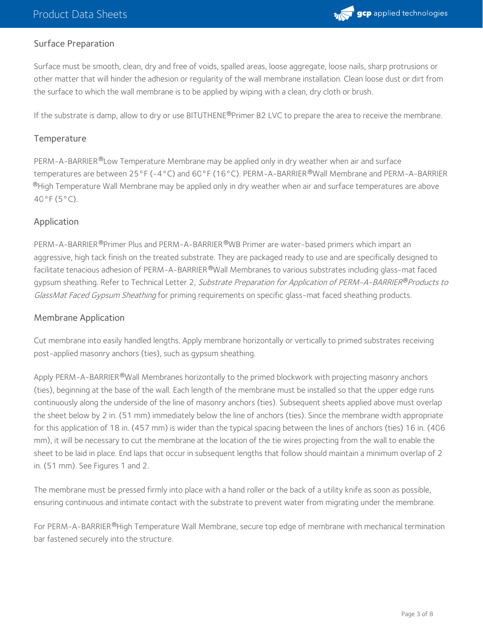

### Surface Preparation

Surface must be smooth, clean, dry and free of voids, spalled areas, loose aggregate, loose nails, sharp protrusions or other matter that will hinder the adhesion or regularity of the wall membrane installation. Clean loose dust or dirt from the surface to which the wall membrane is to be applied by wiping with a clean, dry cloth or brush.

If the substrate is damp, allow to dry or use BITUTHENE®Primer B2 LVC to prepare the area to receive the membrane.

#### **Temperature**

PERM-A-BARRIER®Low Temperature Membrane may be applied only in dry weather when air and surface temperatures are between 25°F (-4°C) and 60°F (16°C). PERM-A-BARRIER ®Wall Membrane and PERM-A-BARRIER  $^\circledR$ High Temperature Wall Membrane may be applied only in dry weather when air and surface temperatures are above 40°F (5°C).

#### Application

PERM-A-BARRIER®Primer Plus and PERM-A-BARRIER®WB Primer are water-based primers which impart an aggressive, high tack finish on the treated substrate. They are packaged ready to use and are specifically designed to facilitate tenacious adhesion of PERM-A-BARRIER®Wall Membranes to various substrates including glass-mat faced gypsum sheathing. Refer to Technical Letter 2*, Substrate Preparation for Application of PERM-A-BARRIER®Products to* GlassMat Faced Gypsum Sheathing for priming requirements on specific glass-mat faced sheathing products.

#### Membrane Application

Cut membrane into easily handled lengths. Apply membrane horizontally or vertically to primed substrates receiving post-applied masonry anchors (ties), such as gypsum sheathing.

Apply PERM-A-BARRIER®Wall Membranes horizontally to the primed blockwork with projecting masonry anchors (ties), beginning at the base of the wall. Each length of the membrane must be installed so that the upper edge runs continuously along the underside of the line of masonry anchors (ties). Subsequent sheets applied above must overlap the sheet below by 2 in. (51 mm) immediately below the line of anchors (ties). Since the membrane width appropriate for this application of 18 in. (457 mm) is wider than the typical spacing between the lines of anchors (ties) 16 in. (406 mm), it will be necessary to cut the membrane at the location of the tie wires projecting from the wall to enable the sheet to be laid in place. End laps that occur in subsequent lengths that follow should maintain a minimum overlap of 2 in. (51 mm). See Figures 1 and 2.

The membrane must be pressed firmly into place with a hand roller or the back of a utility knife as soon as possible, ensuring continuous and intimate contact with the substrate to prevent water from migrating under the membrane.

For PERM-A-BARRIER®High Temperature Wall Membrane, secure top edge of membrane with mechanical termination bar fastened securely into the structure.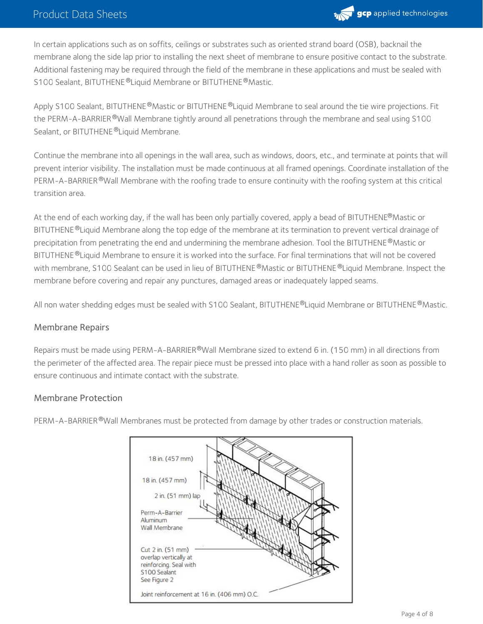

In certain applications such as on soffits, ceilings or substrates such as oriented strand board (OSB), backnail the membrane along the side lap prior to installing the next sheet of membrane to ensure positive contact to the substrate. Additional fastening may be required through the field of the membrane in these applications and must be sealed with S100 Sealant, BITUTHENE®Liquid Membrane or BITUTHENE®Mastic.

Apply S100 Sealant, BITUTHENE®Mastic or BITUTHENE®Liquid Membrane to seal around the tie wire projections. Fit the PERM-A-BARRIER®Wall Membrane tightly around all penetrations through the membrane and seal using S100 Sealant, or BITUTHENE ®Liquid Membrane.

Continue the membrane into all openings in the wall area, such as windows, doors, etc., and terminate at points that will prevent interior visibility. The installation must be made continuous at all framed openings. Coordinate installation of the PERM-A-BARRIER®Wall Membrane with the roofing trade to ensure continuity with the roofing system at this critical transition area.

At the end of each working day, if the wall has been only partially covered, apply a bead of BITUTHENE®Mastic or BITUTHENE®Liquid Membrane along the top edge of the membrane at its termination to prevent vertical drainage of precipitation from penetrating the end and undermining the membrane adhesion. Tool the BITUTHENE®Mastic or BITUTHENE ®Liquid Membrane to ensure it is worked into the surface. For final terminations that will not be covered with membrane, S100 Sealant can be used in lieu of BITUTHENE®Mastic or BITUTHENE®Liquid Membrane. Inspect the membrane before covering and repair any punctures, damaged areas or inadequately lapped seams.

All non water shedding edges must be sealed with S100 Sealant, BITUTHENE®Liquid Membrane or BITUTHENE®Mastic.

#### Membrane Repairs

Repairs must be made using PERM-A-BARRIER®Wall Membrane sized to extend 6 in. (150 mm) in all directions from the perimeter of the affected area. The repair piece must be pressed into place with a hand roller as soon as possible to ensure continuous and intimate contact with the substrate.

#### Membrane Protection

PERM-A-BARRIER®Wall Membranes must be protected from damage by other trades or construction materials.

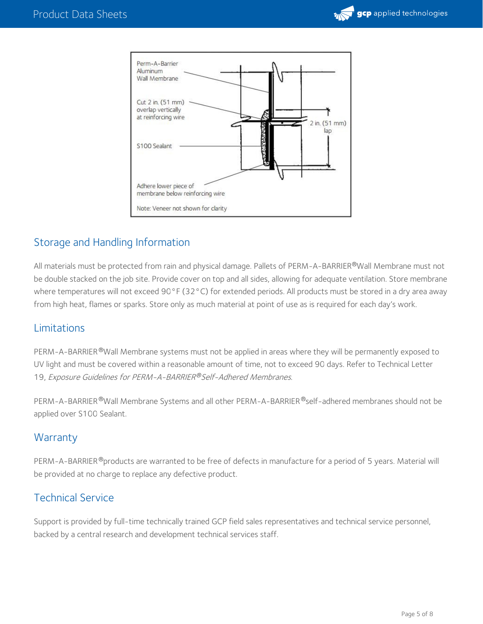



# Storage and Handling Information

All materials must be protected from rain and physical damage. Pallets of PERM-A-BARRIER®Wall Membrane must not be double stacked on the job site. Provide cover on top and all sides, allowing for adequate ventilation. Store membrane where temperatures will not exceed 90°F (32°C) for extended periods. All products must be stored in a dry area away from high heat, flames or sparks. Store only as much material at point of use as is required for each day's work.

# Limitations

PERM-A-BARRIER®Wall Membrane systems must not be applied in areas where they will be permanently exposed to UV light and must be covered within a reasonable amount of time, not to exceed 90 days. Refer to Technical Letter 19, Exposure Guidelines for PERM-A-BARRIER®Self-Adhered Membranes.

PERM-A-BARRIER®Wall Membrane Systems and all other PERM-A-BARRIER®self-adhered membranes should not be applied over S100 Sealant.

# **Warranty**

PERM-A-BARRIER®products are warranted to be free of defects in manufacture for a period of 5 years. Material will be provided at no charge to replace any defective product.

# Technical Service

Support is provided by full-time technically trained GCP field sales representatives and technical service personnel, backed by a central research and development technical services staff.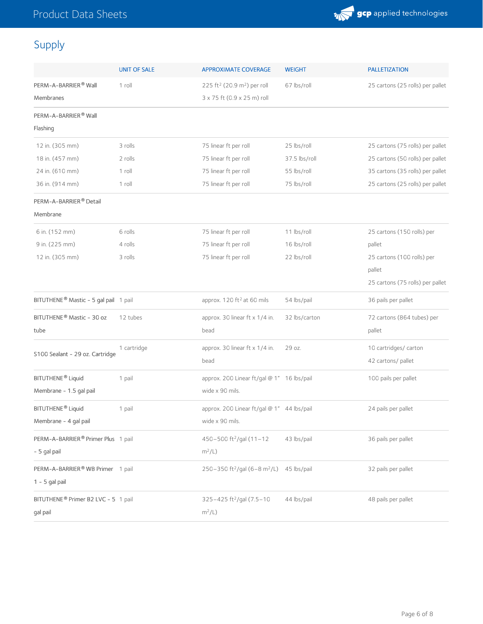

# Supply

|                                                   | <b>UNIT OF SALE</b> | <b>APPROXIMATE COVERAGE</b>                          | <b>WEIGHT</b> | <b>PALLETIZATION</b>             |
|---------------------------------------------------|---------------------|------------------------------------------------------|---------------|----------------------------------|
| PERM-A-BARRIER® Wall                              | 1 roll              | 225 ft <sup>2</sup> (20.9 m <sup>2</sup> ) per roll  | 67 lbs/roll   | 25 cartons (25 rolls) per pallet |
| Membranes                                         |                     | 3 x 75 ft (0.9 x 25 m) roll                          |               |                                  |
| PERM-A-BARRIER® Wall                              |                     |                                                      |               |                                  |
| Flashing                                          |                     |                                                      |               |                                  |
| 12 in. (305 mm)                                   | 3 rolls             | 75 linear ft per roll                                | 25 lbs/roll   | 25 cartons (75 rolls) per pallet |
| 18 in. (457 mm)                                   | 2 rolls             | 75 linear ft per roll                                | 37.5 lbs/roll | 25 cartons (50 rolls) per pallet |
| 24 in. (610 mm)                                   | 1 roll              | 75 linear ft per roll                                | 55 lbs/roll   | 35 cartons (35 rolls) per pallet |
| 36 in. (914 mm)                                   | 1 roll              | 75 linear ft per roll                                | 75 lbs/roll   | 25 cartons (25 rolls) per pallet |
| PERM-A-BARRIER® Detail                            |                     |                                                      |               |                                  |
| Membrane                                          |                     |                                                      |               |                                  |
| 6 in. (152 mm)                                    | 6 rolls             | 75 linear ft per roll                                | 11 lbs/roll   | 25 cartons (150 rolls) per       |
| 9 in. (225 mm)                                    | 4 rolls             | 75 linear ft per roll                                | 16 lbs/roll   | pallet                           |
| 12 in. (305 mm)                                   | 3 rolls             | 75 linear ft per roll                                | 22 lbs/roll   | 25 cartons (100 rolls) per       |
|                                                   |                     |                                                      |               | pallet                           |
|                                                   |                     |                                                      |               | 25 cartons (75 rolls) per pallet |
| BITUTHENE <sup>®</sup> Mastic - 5 gal pail 1 pail |                     | approx. 120 ft <sup>2</sup> at 60 mils               | 54 lbs/pail   | 36 pails per pallet              |
| BITUTHENE® Mastic - 30 oz                         | 12 tubes            | approx. 30 linear ft x 1/4 in.                       | 32 lbs/carton | 72 cartons (864 tubes) per       |
| tube                                              |                     | bead                                                 |               | pallet                           |
| S100 Sealant - 29 oz. Cartridge                   | 1 cartridge         | approx. 30 linear ft x 1/4 in.                       | 29 oz.        | 10 cartridges/ carton            |
|                                                   |                     | bead                                                 |               | 42 cartons/ pallet               |
| BITUTHENE <sup>®</sup> Liquid                     | 1 pail              | approx. 200 Linear ft/gal @ 1" 16 lbs/pail           |               | 100 pails per pallet             |
| Membrane - 1.5 gal pail                           |                     | wide x 90 mils.                                      |               |                                  |
| BITUTHENE <sup>®</sup> Liquid                     | 1 pail              | approx. 200 Linear ft/gal @ 1" 44 lbs/pail           |               | 24 pails per pallet              |
| Membrane - 4 gal pail                             |                     | wide x 90 mils.                                      |               |                                  |
| PERM-A-BARRIER® Primer Plus 1 pail                |                     | 450-500 ft <sup>2</sup> /gal (11-12                  | 43 lbs/pail   | 36 pails per pallet              |
| - 5 gal pail                                      |                     | $m^2/L$ )                                            |               |                                  |
| PERM-A-BARRIER® WB Primer 1 pail                  |                     | 250-350 ft <sup>2</sup> /gal (6-8 m <sup>2</sup> /L) | 45 lbs/pail   | 32 pails per pallet              |
| $1 - 5$ gal pail                                  |                     |                                                      |               |                                  |
| BITUTHENE <sup>®</sup> Primer B2 LVC - 5 1 pail   |                     | 325-425 ft <sup>2</sup> /gal (7.5-10                 | 44 lbs/pail   | 48 pails per pallet              |
| gal pail                                          |                     | $m^2/L$                                              |               |                                  |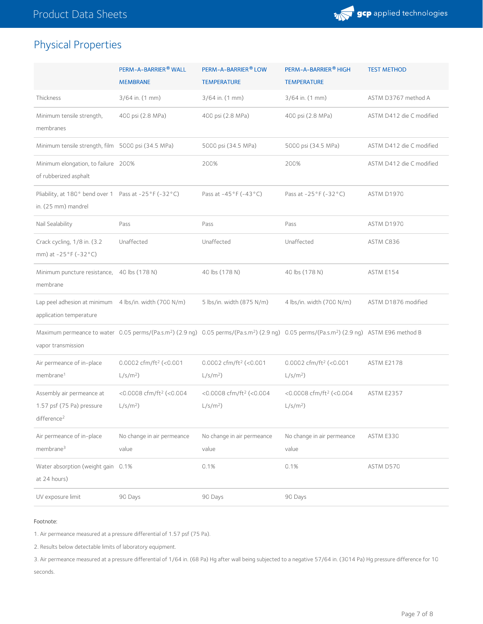

# Physical Properties

|                                                                                   | PERM-A-BARRIER® WALL<br><b>MEMBRANE</b>           | PERM-A-BARRIER <sup>®</sup> LOW<br><b>TEMPERATURE</b> | PERM-A-BARRIER® HIGH<br><b>TEMPERATURE</b>                                                                                                                                    | <b>TEST METHOD</b>       |
|-----------------------------------------------------------------------------------|---------------------------------------------------|-------------------------------------------------------|-------------------------------------------------------------------------------------------------------------------------------------------------------------------------------|--------------------------|
| Thickness                                                                         | 3/64 in. (1 mm)                                   | 3/64 in. (1 mm)                                       | 3/64 in. (1 mm)                                                                                                                                                               | ASTM D3767 method A      |
| Minimum tensile strength,<br>membranes                                            | 400 psi (2.8 MPa)                                 | 400 psi (2.8 MPa)                                     | 400 psi (2.8 MPa)                                                                                                                                                             | ASTM D412 die C modified |
| Minimum tensile strength, film 5000 psi (34.5 MPa)                                |                                                   | 5000 psi (34.5 MPa)                                   | 5000 psi (34.5 MPa)                                                                                                                                                           | ASTM D412 die C modified |
| Minimum elongation, to failure 200%<br>of rubberized asphalt                      |                                                   | 200%                                                  | 200%                                                                                                                                                                          | ASTM D412 die C modified |
| Pliability, at 180° bend over 1 Pass at -25°F (-32°C)<br>in. (25 mm) mandrel      |                                                   | Pass at -45°F (-43°C)                                 | Pass at -25°F (-32°C)                                                                                                                                                         | ASTM D1970               |
| Nail Sealability                                                                  | Pass                                              | Pass                                                  | Pass                                                                                                                                                                          | ASTM D1970               |
| Crack cycling, 1/8 in. (3.2)<br>mm) at -25°F (-32°C)                              | Unaffected                                        | Unaffected                                            | Unaffected                                                                                                                                                                    | ASTM C836                |
| Minimum puncture resistance, 40 lbs (178 N)<br>membrane                           |                                                   | 40 lbs (178 N)                                        | 40 lbs (178 N)                                                                                                                                                                | ASTM E154                |
| Lap peel adhesion at minimum 4 lbs/in. width (700 N/m)<br>application temperature |                                                   | 5 lbs/in. width (875 N/m)                             | 4 lbs/in. width (700 N/m)                                                                                                                                                     | ASTM D1876 modified      |
| vapor transmission                                                                |                                                   |                                                       | Maximum permeance to water 0.05 perms/(Pa.s.m <sup>2</sup> ) (2.9 ng) 0.05 perms/(Pa.s.m <sup>2</sup> ) (2.9 ng) 0.05 perms/(Pa.s.m <sup>2</sup> ) (2.9 ng) ASTM E96 method B |                          |
| Air permeance of in-place<br>membrane <sup>1</sup>                                | 0.0002 cfm/ft <sup>2</sup> (<0.001<br>$L/s/m2$ )  | 0.0002 cfm/ft <sup>2</sup> (<0.001<br>$L/s/m2$ )      | 0.0002 cfm/ft <sup>2</sup> (< $0.001$<br>$L/s/m2$ )                                                                                                                           | <b>ASTM E2178</b>        |
| Assembly air permeance at<br>1.57 psf (75 Pa) pressure<br>difference <sup>2</sup> | <0.0008 cfm/ft <sup>2</sup> (<0.004<br>$L/s/m2$ ) | <0.0008 cfm/ft <sup>2</sup> (<0.004<br>$L/s/m2$ )     | <0.0008 cfm/ft <sup>2</sup> (<0.004<br>$L/s/m2$ )                                                                                                                             | <b>ASTM E2357</b>        |
| Air permeance of in-place<br>membrane <sup>3</sup>                                | No change in air permeance<br>value               | No change in air permeance<br>value                   | No change in air permeance<br>value                                                                                                                                           | ASTM E330                |
| Water absorption (weight gain 0.1%<br>at 24 hours)                                |                                                   | 0.1%                                                  | 0.1%                                                                                                                                                                          | ASTM D570                |
| UV exposure limit                                                                 | 90 Days                                           | 90 Days                                               | 90 Days                                                                                                                                                                       |                          |

#### Footnote:

1. Air permeance measured at a pressure differential of 1.57 psf (75 Pa).

2. Results below detectable limits of laboratory equipment.

3. Air permeance measured at a pressure differential of 1/64 in. (68 Pa) Hg after wall being subjected to a negative 57/64 in. (3014 Pa) Hg pressure difference for 10 seconds.